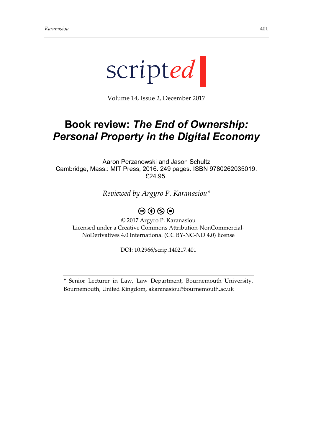

Volume 14, Issue 2, December 2017

## **Book review:** *The End of Ownership: Personal Property in the Digital Economy*

Aaron Perzanowski and Jason Schultz Cambridge, Mass.: MIT Press, 2016. 249 pages. ISBN 9780262035019. £24.95.

*Reviewed by Argyro P. Karanasiou\**

## $\circledcirc$   $\circledcirc$   $\circledcirc$

© 2017 Argyro P. Karanasiou Licensed under a Creative Commons Attribution-NonCommercial-NoDerivatives 4.0 International (CC BY-NC-ND 4.0) license

DOI: 10.2966/scrip.140217.401

\* Senior Lecturer in Law, Law Department, Bournemouth University, Bournemouth, United Kingdom, [akaranasiou@bournemouth.ac.uk](mailto:akaranasiou@bournemouth.ac.uk)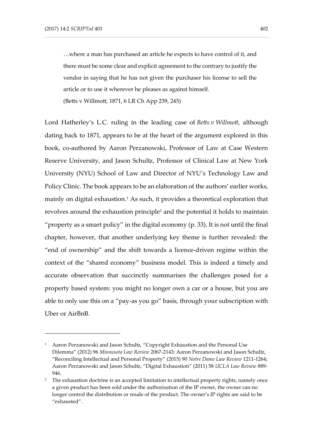…where a man has purchased an article he expects to have control of it, and there must be some clear and explicit agreement to the contrary to justify the vendor in saying that he has not given the purchaser his license to sell the article or to use it wherever he pleases as against himself. (Betts v Willmott, 1871, 6 LR Ch App 239, 245)

Lord Hatherley's L.C. ruling in the leading case of *Betts v Willmott*, although dating back to 1871, appears to be at the heart of the argument explored in this book, co-authored by Aaron Perzanowski, Professor of Law at Case Western Reserve University, and Jason Schultz, Professor of Clinical Law at New York University (NYU) School of Law and Director of NYU's Technology Law and Policy Clinic. The book appears to be an elaboration of the authors' earlier works, mainly on digital exhaustion.<sup>1</sup> As such, it provides a theoretical exploration that revolves around the exhaustion principle<sup>2</sup> and the potential it holds to maintain "property as a smart policy" in the digital economy  $(p. 33)$ . It is not until the final chapter, however, that another underlying key theme is further revealed: the "end of ownership" and the shift towards a licence-driven regime within the context of the "shared economy" business model. This is indeed a timely and accurate observation that succinctly summarises the challenges posed for a property based system: you might no longer own a car or a house, but you are able to only use this on a "pay-as you go" basis, through your subscription with Uber or AirBnB.

<sup>&</sup>lt;sup>1</sup> Aaron Perzanowski and Jason Schultz, "Copyright Exhaustion and the Personal Use Dilemma" (2012) 96 *Minnesota Law Review* 2067-2143; Aaron Perzanowski and Jason Schultz, "Reconciling Intellectual and Personal Property" (2015) 90 *Notre Dame Law Review* 1211-1264; Aaron Perzanowski and Jason Schultz, "Digital Exhaustion" (2011) 58 *UCLA Law Review* 889- 946.

<sup>&</sup>lt;sup>2</sup> The exhaustion doctrine is an accepted limitation to intellectual property rights, namely once a given product has been sold under the authorisation of the IP owner, the owner can no longer control the distribution or resale of the product. The owner's IP rights are said to be "exhausted".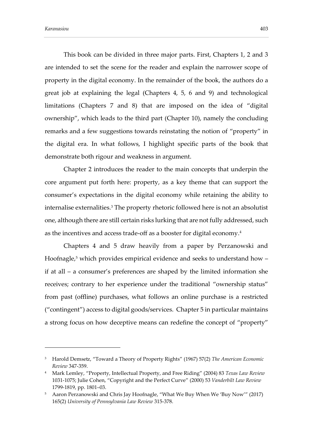This book can be divided in three major parts. First, Chapters 1, 2 and 3 are intended to set the scene for the reader and explain the narrower scope of property in the digital economy. In the remainder of the book, the authors do a great job at explaining the legal (Chapters 4, 5, 6 and 9) and technological limitations (Chapters 7 and 8) that are imposed on the idea of "digital ownership", which leads to the third part (Chapter 10), namely the concluding remarks and a few suggestions towards reinstating the notion of "property" in the digital era. In what follows, I highlight specific parts of the book that demonstrate both rigour and weakness in argument.

Chapter 2 introduces the reader to the main concepts that underpin the core argument put forth here: property, as a key theme that can support the consumer's expectations in the digital economy while retaining the ability to internalise externalities. <sup>3</sup> The property rhetoric followed here is not an absolutist one, although there are still certain risks lurking that are not fully addressed, such as the incentives and access trade-off as a booster for digital economy. 4

Chapters 4 and 5 draw heavily from a paper by Perzanowski and Hoofnagle, $5$  which provides empirical evidence and seeks to understand how  $$ if at all – a consumer's preferences are shaped by the limited information she receives; contrary to her experience under the traditional "ownership status" from past (offline) purchases, what follows an online purchase is a restricted ("contingent") access to digital goods/services. Chapter 5 in particular maintains a strong focus on how deceptive means can redefine the concept of "property"

<sup>3</sup> Harold Demsetz, "Toward a Theory of Property Rights" (1967) 57(2) *The American Economic Review* 347-359.

<sup>4</sup> Mark Lemley, "Property, Intellectual Property, and Free Riding" (2004) 83 *Texas Law Review*  1031-1075; Julie Cohen, "Copyright and the Perfect Curve" (2000) 53 *Vanderbilt Law Review* 1799-1819, pp. 1801–03.

<sup>&</sup>lt;sup>5</sup> Aaron Perzanowski and Chris Jay Hoofnagle, "What We Buy When We 'Buy Now'" (2017) 165(2) *University of Pennsylvania Law Review* 315-378.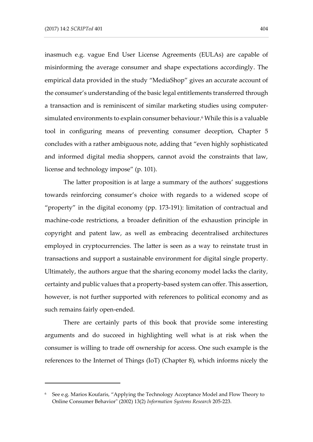inasmuch e.g. vague End User License Agreements (EULAs) are capable of misinforming the average consumer and shape expectations accordingly. The empirical data provided in the study "MediaShop" gives an accurate account of the consumer's understanding of the basic legal entitlements transferred through a transaction and is reminiscent of similar marketing studies using computersimulated environments to explain consumer behaviour. <sup>6</sup> While this is a valuable tool in configuring means of preventing consumer deception, Chapter 5 concludes with a rather ambiguous note, adding that "even highly sophisticated and informed digital media shoppers, cannot avoid the constraints that law, license and technology impose" (p. 101).

The latter proposition is at large a summary of the authors' suggestions towards reinforcing consumer's choice with regards to a widened scope of "property" in the digital economy (pp. 173-191): limitation of contractual and machine-code restrictions, a broader definition of the exhaustion principle in copyright and patent law, as well as embracing decentralised architectures employed in cryptocurrencies. The latter is seen as a way to reinstate trust in transactions and support a sustainable environment for digital single property. Ultimately, the authors argue that the sharing economy model lacks the clarity, certainty and public values that a property-based system can offer. This assertion, however, is not further supported with references to political economy and as such remains fairly open-ended.

There are certainly parts of this book that provide some interesting arguments and do succeed in highlighting well what is at risk when the consumer is willing to trade off ownership for access. One such example is the references to the Internet of Things (IoT) (Chapter 8), which informs nicely the

<sup>6</sup> See e.g. Marios Koufaris, "Applying the Technology Acceptance Model and Flow Theory to Online Consumer Behavior" (2002) 13(2) *Information Systems Research* 205-223.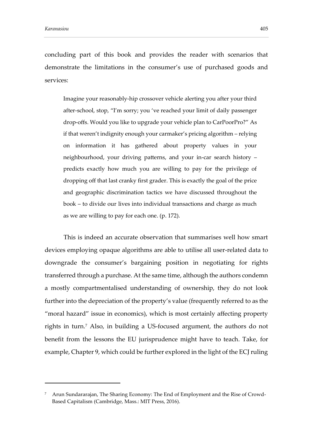concluding part of this book and provides the reader with scenarios that demonstrate the limitations in the consumer's use of purchased goods and services:

Imagine your reasonably-hip crossover vehicle alerting you after your third after-school, stop, "I'm sorry; you 've reached your limit of daily passenger drop-offs. Would you like to upgrade your vehicle plan to CarPoorPro?" As if that weren't indignity enough your carmaker's pricing algorithm – relying on information it has gathered about property values in your neighbourhood, your driving patterns, and your in-car search history – predicts exactly how much you are willing to pay for the privilege of dropping off that last cranky first grader. This is exactly the goal of the price and geographic discrimination tactics we have discussed throughout the book – to divide our lives into individual transactions and charge as much as we are willing to pay for each one. (p. 172).

This is indeed an accurate observation that summarises well how smart devices employing opaque algorithms are able to utilise all user-related data to downgrade the consumer's bargaining position in negotiating for rights transferred through a purchase. At the same time, although the authors condemn a mostly compartmentalised understanding of ownership, they do not look further into the depreciation of the property's value (frequently referred to as the "moral hazard" issue in economics), which is most certainly affecting property rights in turn. <sup>7</sup> Also, in building a US-focused argument, the authors do not benefit from the lessons the EU jurisprudence might have to teach. Take, for example, Chapter 9, which could be further explored in the light of the ECJ ruling

<sup>7</sup> Arun Sundararajan, The Sharing Economy: The End of Employment and the Rise of Crowd-Based Capitalism (Cambridge, Mass.: MIT Press, 2016).